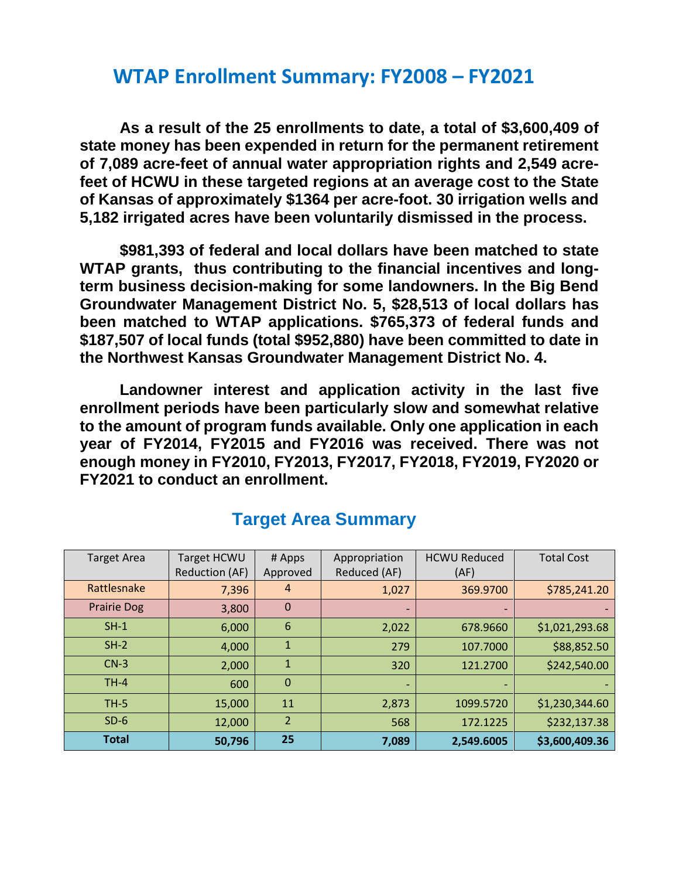## **WTAP Enrollment Summary: FY2008 – FY2021**

**As a result of the 25 enrollments to date, a total of \$3,600,409 of state money has been expended in return for the permanent retirement of 7,089 acre-feet of annual water appropriation rights and 2,549 acrefeet of HCWU in these targeted regions at an average cost to the State of Kansas of approximately \$1364 per acre-foot. 30 irrigation wells and 5,182 irrigated acres have been voluntarily dismissed in the process.** 

**\$981,393 of federal and local dollars have been matched to state WTAP grants, thus contributing to the financial incentives and longterm business decision-making for some landowners. In the Big Bend Groundwater Management District No. 5, \$28,513 of local dollars has been matched to WTAP applications. \$765,373 of federal funds and \$187,507 of local funds (total \$952,880) have been committed to date in the Northwest Kansas Groundwater Management District No. 4.** 

**Landowner interest and application activity in the last five enrollment periods have been particularly slow and somewhat relative to the amount of program funds available. Only one application in each year of FY2014, FY2015 and FY2016 was received. There was not enough money in FY2010, FY2013, FY2017, FY2018, FY2019, FY2020 or FY2021 to conduct an enrollment.** 

| <b>Target Area</b> | Target HCWU           | # Apps         | Appropriation                | <b>HCWU Reduced</b> | <b>Total Cost</b> |
|--------------------|-----------------------|----------------|------------------------------|---------------------|-------------------|
|                    | <b>Reduction (AF)</b> | Approved       | Reduced (AF)                 | (AF)                |                   |
| Rattlesnake        | 7,396                 | 4              | 1,027                        | 369.9700            | \$785,241.20      |
| <b>Prairie Dog</b> | 3,800                 | $\mathbf 0$    | $\qquad \qquad \blacksquare$ |                     |                   |
| $SH-1$             | 6,000                 | 6              | 2,022                        | 678.9660            | \$1,021,293.68    |
| $SH-2$             | 4,000                 | $\mathbf{1}$   | 279                          | 107.7000            | \$88,852.50       |
| $CN-3$             | 2,000                 | 1              | 320                          | 121.2700            | \$242,540.00      |
| $TH-4$             | 600                   | $\mathbf{0}$   | $\overline{\phantom{0}}$     |                     |                   |
| <b>TH-5</b>        | 15,000                | 11             | 2,873                        | 1099.5720           | \$1,230,344.60    |
| $SD-6$             | 12,000                | $\overline{2}$ | 568                          | 172.1225            | \$232,137.38      |
| <b>Total</b>       | 50,796                | 25             | 7,089                        | 2,549.6005          | \$3,600,409.36    |

## **Target Area Summary**